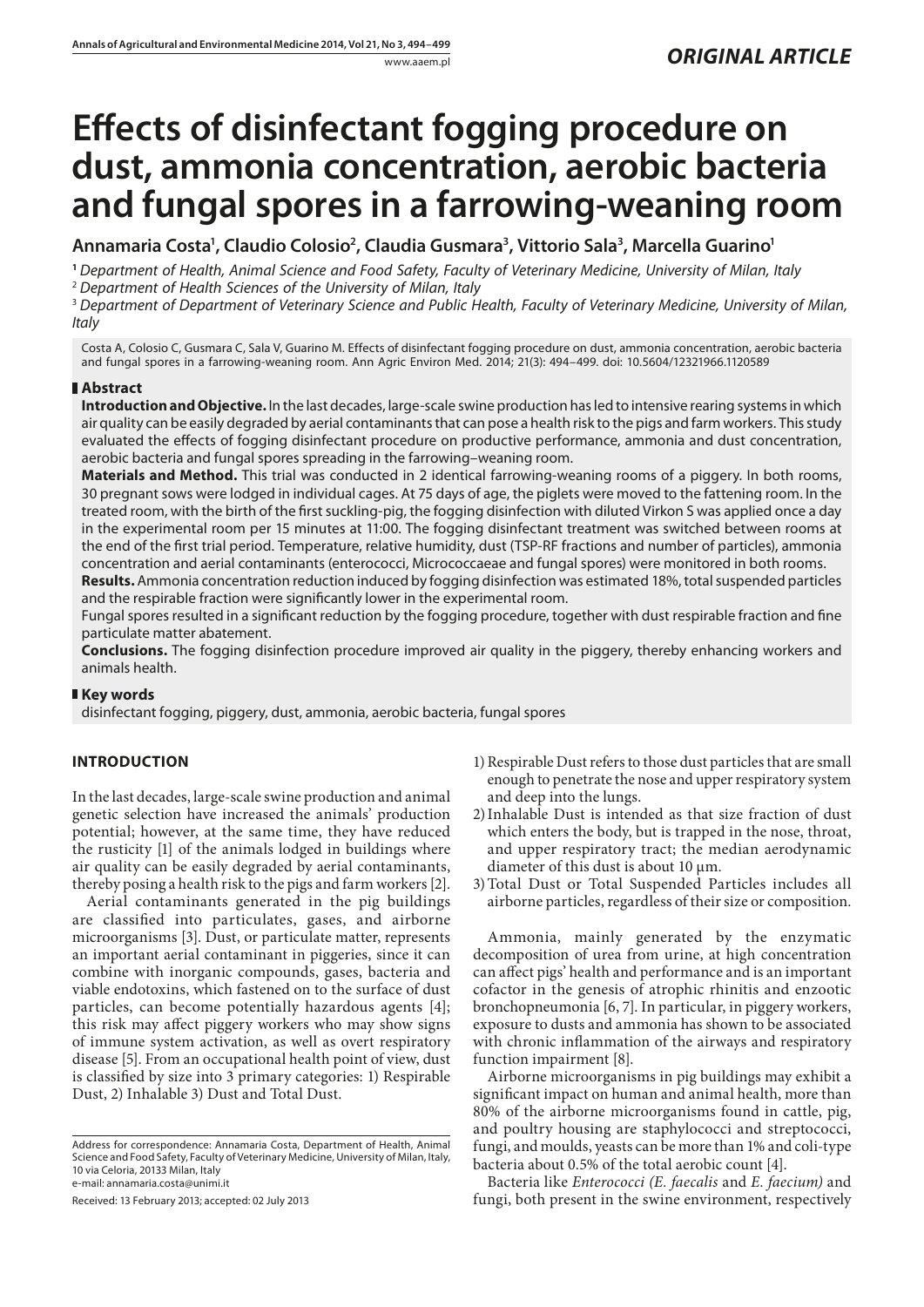# **Effects of disinfectant fogging procedure on dust, ammonia concentration, aerobic bacteria and fungal spores in a farrowing-weaning room**

**Annamaria Costa1 , Claudio Colosio2 , Claudia Gusmara3 , Vittorio Sala3 , Marcella Guarino1**

**<sup>1</sup>** *[Department of Health, Animal Science and Food Safety](http://www.unimi.it/chiedove/ENG/schedaStrutturaXML.jsp?codice=6606), Faculty of Veterinary Medicine, University of Milan, Italy* <sup>2</sup> *Department of Health Sciences of the University of Milan, Italy*

<sup>3</sup> *Department of [Department of Veterinary Science and Public Health](http://www.unimi.it/chiedove/ENG/schedaStrutturaXML.jsp?codice=6605), Faculty of Veterinary Medicine, University of Milan, Italy*

Costa A, Colosio C, Gusmara C, Sala V, Guarino M. Effects of disinfectant fogging procedure on dust, ammonia concentration, aerobic bacteria and fungal spores in a farrowing-weaning room. Ann Agric Environ Med. 2014; 21(3): 494–499. doi: 10.5604/12321966.1120589

## **Abstract**

**Introduction and Objective.** In the last decades, large-scale swine production has led to intensive rearing systems in which air quality can be easily degraded by aerial contaminants that can pose a health risk to the pigs and farm workers. This study evaluated the effects of fogging disinfectant procedure on productive performance, ammonia and dust concentration, aerobic bacteria and fungal spores spreading in the farrowing–weaning room.

**Materials and Method.** This trial was conducted in 2 identical farrowing-weaning rooms of a piggery. In both rooms, 30 pregnant sows were lodged in individual cages. At 75 days of age, the piglets were moved to the fattening room. In the treated room, with the birth of the first suckling-pig, the fogging disinfection with diluted Virkon S was applied once a day in the experimental room per 15 minutes at 11:00. The fogging disinfectant treatment was switched between rooms at the end of the first trial period. Temperature, relative humidity, dust (TSP-RF fractions and number of particles), ammonia concentration and aerial contaminants (enterococci, Micrococcaeae and fungal spores) were monitored in both rooms.

**Results.** Ammonia concentration reduction induced by fogging disinfection was estimated 18%, total suspended particles and the respirable fraction were significantly lower in the experimental room.

Fungal spores resulted in a significant reduction by the fogging procedure, together with dust respirable fraction and fine particulate matter abatement.

**Conclusions.** The fogging disinfection procedure improved air quality in the piggery, thereby enhancing workers and animals health.

## **Key words**

disinfectant fogging, piggery, dust, ammonia, aerobic bacteria, fungal spores

## **INTRODUCTION**

In the last decades, large-scale swine production and animal genetic selection have increased the animals' production potential; however, at the same time, they have reduced the rusticity [1] of the animals lodged in buildings where air quality can be easily degraded by aerial contaminants, thereby posing a health risk to the pigs and farm workers [2].

Aerial contaminants generated in the pig buildings are classified into particulates, gases, and airborne microorganisms [3]. Dust, or particulate matter, represents an important aerial contaminant in piggeries, since it can combine with inorganic compounds, gases, bacteria and viable endotoxins, which fastened on to the surface of dust particles, can become potentially hazardous agents [4]; this risk may affect piggery workers who may show signs of immune system activation, as well as overt respiratory disease [5]. From an occupational health point of view, dust is classified by size into 3 primary categories: 1) Respirable Dust, 2) Inhalable 3) Dust and Total Dust.

Received: 13 February 2013; accepted: 02 July 2013

- 1)Respirable Dust refers to those dust particles that are small enough to penetrate the nose and upper respiratory system and deep into the lungs.
- 2)Inhalable Dust is intended as that size fraction of dust which enters the body, but is trapped in the nose, throat, and upper respiratory tract; the median aerodynamic diameter of this dust is about 10  $\mu$ m.
- 3)Total Dust or Total Suspended Particles includes all airborne particles, regardless of their size or composition.

Ammonia, mainly generated by the enzymatic decomposition of urea from urine, at high concentration can affect pigs' health and performance and is an important cofactor in the genesis of atrophic rhinitis and enzootic bronchopneumonia [6, 7]. In particular, in piggery workers, exposure to dusts and ammonia has shown to be associated with chronic inflammation of the airways and respiratory function impairment [8].

Airborne microorganisms in pig buildings may exhibit a significant impact on human and animal health, more than 80% of the airborne microorganisms found in cattle, pig, and poultry housing are staphylococci and streptococci, fungi, and moulds, yeasts can be more than 1% and coli-type bacteria about 0.5% of the total aerobic count [4].

Bacteria like *Enterococci (E. faecalis* and *E. faecium)* and fungi, both present in the swine environment, respectively

Address for correspondence: Annamaria Costa, [Department of Health, Animal](http://www.unimi.it/chiedove/ENG/schedaStrutturaXML.jsp?codice=6606) [Science and Food Safety,](http://www.unimi.it/chiedove/ENG/schedaStrutturaXML.jsp?codice=6606) Faculty of Veterinary Medicine, University of Milan, Italy, 10 via Celoria, 20133 Milan, Italy e-mail: annamaria.costa@unimi.it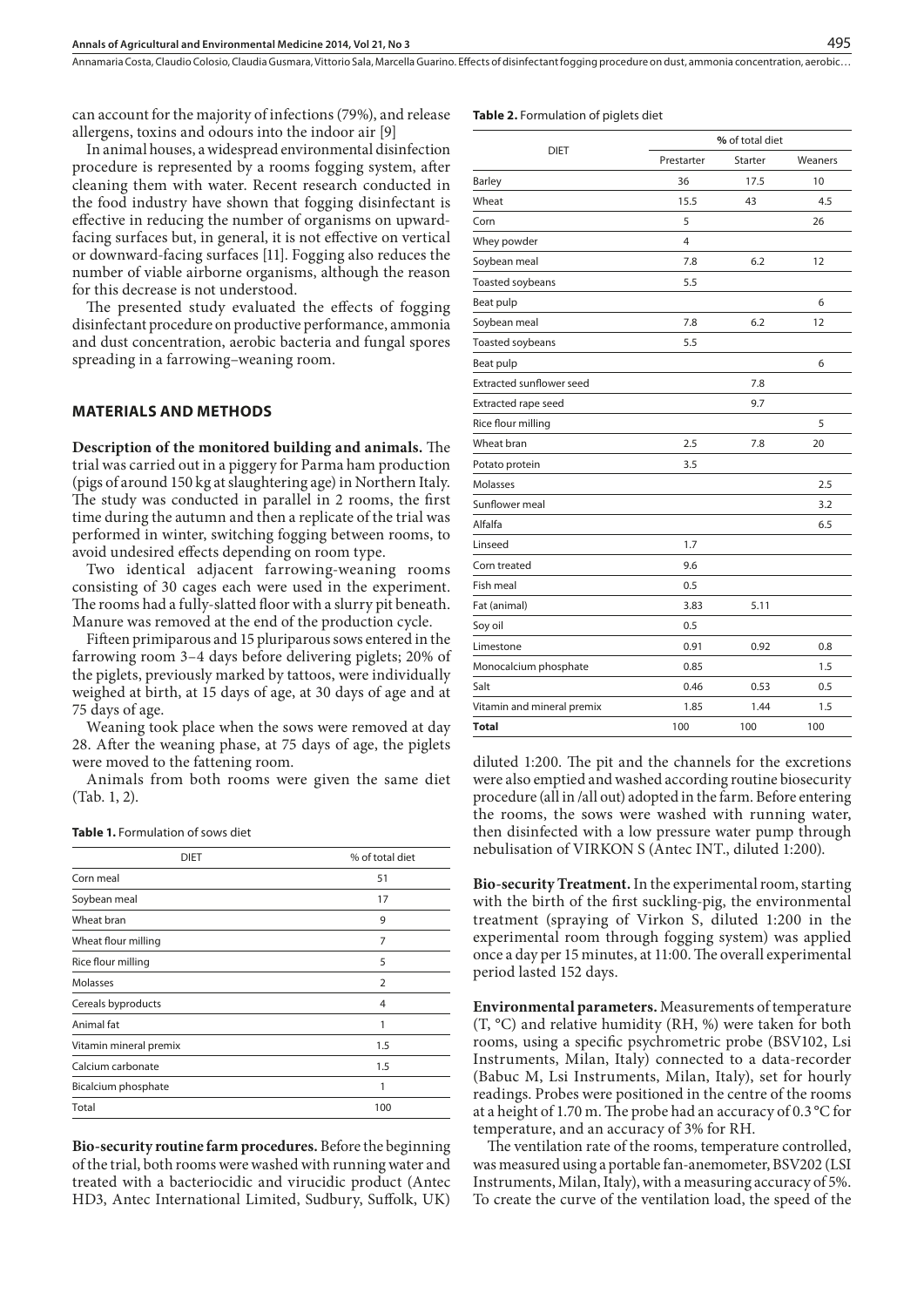Annamaria Costa, Claudio Colosio, Claudia Gusmara, Vittorio Sala, Marcella Guarino . Effects of disinfectant fogging procedure on dust, ammonia concentration, aerobic…

can account for the majority of infections (79%), and release allergens, toxins and odours into the indoor air [9]

In animal houses, a widespread environmental disinfection procedure is represented by a rooms fogging system, after cleaning them with water. Recent research conducted in the food industry have shown that fogging disinfectant is effective in reducing the number of organisms on upwardfacing surfaces but, in general, it is not effective on vertical or downward-facing surfaces [11]. Fogging also reduces the number of viable airborne organisms, although the reason for this decrease is not understood.

The presented study evaluated the effects of fogging disinfectant procedure on productive performance, ammonia and dust concentration, aerobic bacteria and fungal spores spreading in a farrowing–weaning room.

## **MATERIALS AND METHODS**

**Description of the monitored building and animals.** The trial was carried out in a piggery for Parma ham production (pigs of around 150 kg at slaughtering age) in Northern Italy. The study was conducted in parallel in 2 rooms, the first time during the autumn and then a replicate of the trial was performed in winter, switching fogging between rooms, to avoid undesired effects depending on room type.

Two identical adjacent farrowing-weaning rooms consisting of 30 cages each were used in the experiment. The rooms had a fully-slatted floor with a slurry pit beneath. Manure was removed at the end of the production cycle.

Fifteen primiparous and 15 pluriparous sows entered in the farrowing room 3–4 days before delivering piglets; 20% of the piglets, previously marked by tattoos, were individually weighed at birth, at 15 days of age, at 30 days of age and at 75 days of age.

Weaning took place when the sows were removed at day 28. After the weaning phase, at 75 days of age, the piglets were moved to the fattening room.

Animals from both rooms were given the same diet (Tab. 1, 2).

| <b>DIET</b>            | % of total diet |
|------------------------|-----------------|
| Corn meal              | 51              |
| Soybean meal           | 17              |
| Wheat bran             | 9               |
| Wheat flour milling    | 7               |
| Rice flour milling     | 5               |
| Molasses               | $\overline{2}$  |
| Cereals byproducts     | $\overline{4}$  |
| Animal fat             | 1               |
| Vitamin mineral premix | 1.5             |
| Calcium carbonate      | 1.5             |
| Bicalcium phosphate    | 1               |
| Total                  | 100             |
|                        |                 |

**Bio-security routine farm procedures.** Before the beginning of the trial, both rooms were washed with running water and treated with a bacteriocidic and virucidic product (Antec HD3, Antec International Limited, Sudbury, Suffolk, UK)

#### **Table 2.** Formulation of piglets diet

|                                 |            | % of total diet |         |  |  |
|---------------------------------|------------|-----------------|---------|--|--|
| <b>DIET</b>                     | Prestarter | Starter         | Weaners |  |  |
| Barley                          | 36         | 17.5            | 10      |  |  |
| Wheat                           | 15.5       | 43              | 4.5     |  |  |
| Corn                            | 5          |                 | 26      |  |  |
| Whey powder                     | 4          |                 |         |  |  |
| Soybean meal                    | 7.8        | 6.2             | 12      |  |  |
| Toasted soybeans                | 5.5        |                 |         |  |  |
| Beat pulp                       |            |                 | 6       |  |  |
| Soybean meal                    | 7.8        | 6.2             | 12      |  |  |
| Toasted soybeans                | 5.5        |                 |         |  |  |
| Beat pulp                       |            |                 | 6       |  |  |
| <b>Extracted sunflower seed</b> |            | 7.8             |         |  |  |
| Extracted rape seed             |            | 9.7             |         |  |  |
| Rice flour milling              |            |                 | 5       |  |  |
| Wheat bran                      | 2.5        | 7.8             | 20      |  |  |
| Potato protein                  | 3.5        |                 |         |  |  |
| Molasses                        |            |                 | 2.5     |  |  |
| Sunflower meal                  |            |                 | 3.2     |  |  |
| Alfalfa                         |            |                 | 6.5     |  |  |
| Linseed                         | 1.7        |                 |         |  |  |
| Corn treated                    | 9.6        |                 |         |  |  |
| Fish meal                       | 0.5        |                 |         |  |  |
| Fat (animal)                    | 3.83       | 5.11            |         |  |  |
| Soy oil                         | 0.5        |                 |         |  |  |
| Limestone                       | 0.91       | 0.92            | 0.8     |  |  |
| Monocalcium phosphate           | 0.85       |                 | 1.5     |  |  |
| Salt                            | 0.46       | 0.53            | 0.5     |  |  |
| Vitamin and mineral premix      | 1.85       | 1.44            | 1.5     |  |  |
| <b>Total</b>                    | 100        | 100             | 100     |  |  |

diluted 1:200. The pit and the channels for the excretions were also emptied and washed according routine biosecurity procedure (all in /all out) adopted in the farm. Before entering the rooms, the sows were washed with running water, then disinfected with a low pressure water pump through nebulisation of VIRKON S (Antec INT., diluted 1:200).

**Bio-security Treatment.** In the experimental room, starting with the birth of the first suckling-pig, the environmental treatment (spraying of Virkon S, diluted 1:200 in the experimental room through fogging system) was applied once a day per 15 minutes, at 11:00. The overall experimental period lasted 152 days.

**Environmental parameters.** Measurements of temperature (T, °C) and relative humidity (RH, %) were taken for both rooms, using a specific psychrometric probe (BSV102, Lsi Instruments, Milan, Italy) connected to a data-recorder (Babuc M, Lsi Instruments, Milan, Italy), set for hourly readings. Probes were positioned in the centre of the rooms at a height of 1.70 m. The probe had an accuracy of 0.3 °C for temperature, and an accuracy of 3% for RH.

The ventilation rate of the rooms, temperature controlled, was measured using a portable fan-anemometer, BSV202 (LSI Instruments, Milan, Italy), with a measuring accuracy of 5%. To create the curve of the ventilation load, the speed of the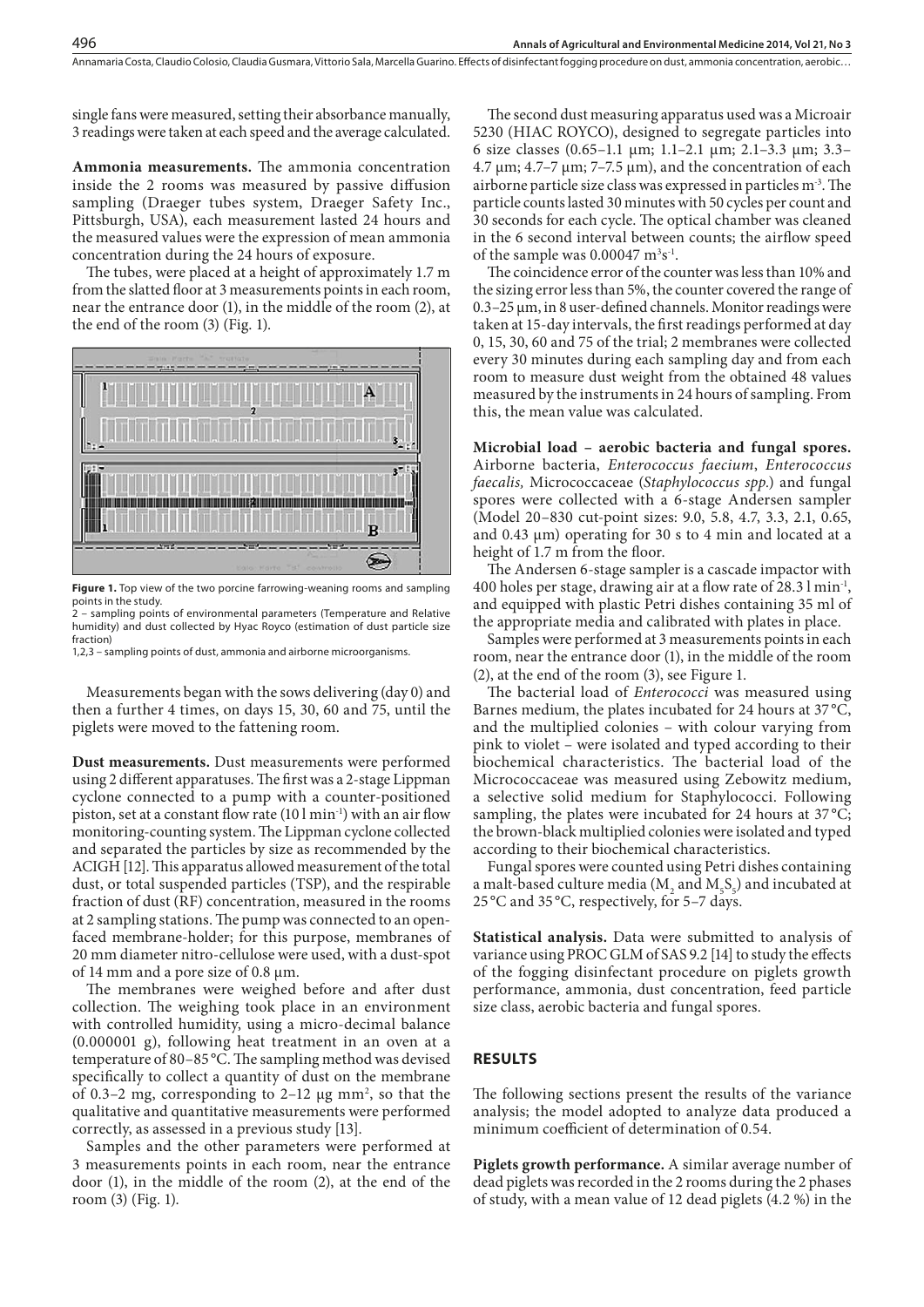single fans were measured, setting their absorbance manually, 3 readings were taken at each speed and the average calculated.

**Ammonia measurements.** The ammonia concentration inside the 2 rooms was measured by passive diffusion sampling (Draeger tubes system, Draeger Safety Inc., Pittsburgh, USA), each measurement lasted 24 hours and the measured values were the expression of mean ammonia concentration during the 24 hours of exposure.

The tubes, were placed at a height of approximately 1.7 m from the slatted floor at 3 measurements points in each room, near the entrance door (1), in the middle of the room (2), at the end of the room (3) (Fig. 1).



Figure 1. Top view of the two porcine farrowing-weaning rooms and sampling points in the study.

.<br>2 – sampling points of environmental parameters (Temperature and Relative humidity) and dust collected by Hyac Royco (estimation of dust particle size fraction)

1,2,3 – sampling points of dust, ammonia and airborne microorganisms.

Measurements began with the sows delivering (day 0) and then a further 4 times, on days 15, 30, 60 and 75, until the piglets were moved to the fattening room.

**Dust measurements.** Dust measurements were performed using 2 different apparatuses. The first was a 2-stage Lippman cyclone connected to a pump with a counter-positioned piston, set at a constant flow rate  $(101 \text{ min}^{-1})$  with an air flow monitoring-counting system. The Lippman cyclone collected and separated the particles by size as recommended by the ACIGH [12]. This apparatus allowed measurement of the total dust, or total suspended particles (TSP), and the respirable fraction of dust (RF) concentration, measured in the rooms at 2 sampling stations. The pump was connected to an openfaced membrane-holder; for this purpose, membranes of 20 mm diameter nitro-cellulose were used, with a dust-spot of 14 mm and a pore size of 0.8 µm.

The membranes were weighed before and after dust collection. The weighing took place in an environment with controlled humidity, using a micro-decimal balance (0.000001 g), following heat treatment in an oven at a temperature of 80–85 °C. The sampling method was devised specifically to collect a quantity of dust on the membrane of 0.3-2 mg, corresponding to 2-12  $\mu$ g mm<sup>2</sup>, so that the qualitative and quantitative measurements were performed correctly, as assessed in a previous study [13].

Samples and the other parameters were performed at 3 measurements points in each room, near the entrance door (1), in the middle of the room (2), at the end of the room (3) (Fig. 1).

The second dust measuring apparatus used was a Microair 5230 (HIAC ROYCO), designed to segregate particles into 6 size classes (0.65–1.1 µm; 1.1–2.1 µm; 2.1–3.3 µm; 3.3– 4.7 μm; 4.7–7 μm; 7–7.5 μm), and the concentration of each airborne particle size class was expressed in particles m-3. The particle counts lasted 30 minutes with 50 cycles per count and 30 seconds for each cycle. The optical chamber was cleaned in the 6 second interval between counts; the airflow speed of the sample was  $0.00047 \text{ m}^3\text{s}^{-1}$ .

The coincidence error of the counter was less than 10% and the sizing error less than 5%, the counter covered the range of 0.3–25 µm, in 8 user-defined channels. Monitor readings were taken at 15-day intervals, the first readings performed at day 0, 15, 30, 60 and 75 of the trial; 2 membranes were collected every 30 minutes during each sampling day and from each room to measure dust weight from the obtained 48 values measured by the instruments in 24 hours of sampling. From this, the mean value was calculated.

**Microbial load – aerobic bacteria and fungal spores.**  Airborne bacteria, *Enterococcus faecium*, *Enterococcus faecalis,* Micrococcaceae (*Staphylococcus spp.*) and fungal spores were collected with a 6-stage Andersen sampler (Model 20–830 cut-point sizes: 9.0, 5.8, 4.7, 3.3, 2.1, 0.65, and 0.43 µm) operating for 30 s to 4 min and located at a height of 1.7 m from the floor.

The Andersen 6-stage sampler is a cascade impactor with 400 holes per stage, drawing air at a flow rate of 28.3 l min-1, and equipped with plastic Petri dishes containing 35 ml of the appropriate media and calibrated with plates in place.

Samples were performed at 3 measurements points in each room, near the entrance door (1), in the middle of the room (2), at the end of the room (3), see Figure 1.

The bacterial load of *Enterococci* was measured using Barnes medium, the plates incubated for 24 hours at 37 °C, and the multiplied colonies – with colour varying from pink to violet – were isolated and typed according to their biochemical characteristics. The bacterial load of the Micrococcaceae was measured using Zebowitz medium, a selective solid medium for Staphylococci. Following sampling, the plates were incubated for 24 hours at  $37^{\circ}$ C; the brown-black multiplied colonies were isolated and typed according to their biochemical characteristics.

Fungal spores were counted using Petri dishes containing a malt-based culture media ( $M_2$  and  $M_5S_5$ ) and incubated at 25 °C and 35 °C, respectively, for 5–7 days.

**Statistical analysis.** Data were submitted to analysis of variance using PROC GLM of SAS 9.2 [14] to study the effects of the fogging disinfectant procedure on piglets growth performance, ammonia, dust concentration, feed particle size class, aerobic bacteria and fungal spores.

## **RESULTS**

The following sections present the results of the variance analysis; the model adopted to analyze data produced a minimum coefficient of determination of 0.54.

**Piglets growth performance.** A similar average number of dead piglets was recorded in the 2 rooms during the 2 phases of study, with a mean value of 12 dead piglets (4.2 %) in the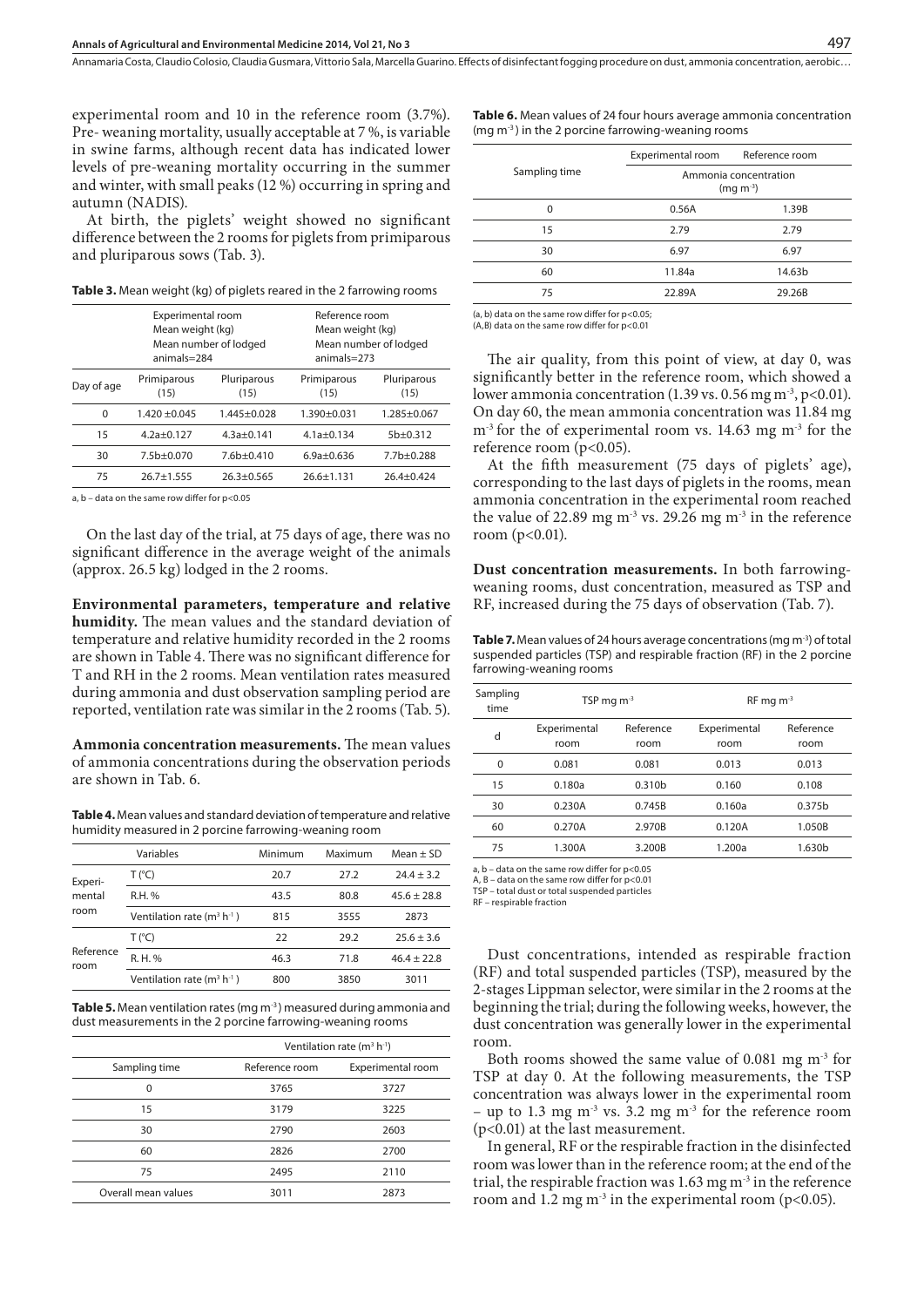Annamaria Costa, Claudio Colosio, Claudia Gusmara, Vittorio Sala, Marcella Guarino . Effects of disinfectant fogging procedure on dust, ammonia concentration, aerobic…

experimental room and 10 in the reference room (3.7%). Pre- weaning mortality, usually acceptable at 7 %, is variable in swine farms, although recent data has indicated lower levels of pre-weaning mortality occurring in the summer and winter, with small peaks (12 %) occurring in spring and autumn (NADIS).

At birth, the piglets' weight showed no significant difference between the 2 rooms for piglets from primiparous and pluriparous sows (Tab. 3).

**Table 3.** Mean weight (kg) of piglets reared in the 2 farrowing rooms

|            | Experimental room<br>Mean weight (kg)<br>$animals=284$ | Mean number of lodged | Reference room<br>Mean weight (kg)<br>$animals = 273$ | Mean number of lodged |
|------------|--------------------------------------------------------|-----------------------|-------------------------------------------------------|-----------------------|
| Day of age | Pluriparous<br>Primiparous<br>(15)<br>(15)             |                       | Primiparous<br>(15)                                   | Pluriparous<br>(15)   |
| 0          | $1.420 + 0.045$                                        | $1.445 + 0.028$       | $1.390 + 0.031$                                       | $1.285 + 0.067$       |
| 15         | $4.2a+0.127$                                           | $4.3a+0.141$          | $4.1a \pm 0.134$                                      | $5b+0.312$            |
| 30         | $7.5b+0.070$                                           | $7.6b+0.410$          | $6.9a + 0.636$                                        | $7.7b+0.288$          |
| 75         | $26.7 + 1.555$                                         | $26.3 + 0.565$        | $26.6 + 1.131$                                        | $26.4 + 0.424$        |

a, b – data on the same row differ for p<0.05

On the last day of the trial, at 75 days of age, there was no significant difference in the average weight of the animals (approx. 26.5 kg) lodged in the 2 rooms.

**Environmental parameters, temperature and relative humidity.** The mean values and the standard deviation of temperature and relative humidity recorded in the 2 rooms are shown in Table 4. There was no significant difference for T and RH in the 2 rooms. Mean ventilation rates measured during ammonia and dust observation sampling period are reported, ventilation rate was similar in the 2 rooms (Tab. 5).

**Ammonia concentration measurements.** The mean values of ammonia concentrations during the observation periods are shown in Tab. 6.

**Table 4.** Mean values and standard deviation of temperature and relative humidity measured in 2 porcine farrowing-weaning room

|                           | Variables                    | Minimum | Maximum | $Mean \pm SD$ |
|---------------------------|------------------------------|---------|---------|---------------|
| Experi-<br>mental<br>room | T (°C)                       | 20.7    | 27.2    | $24.4 + 3.2$  |
|                           | R.H. %                       | 43.5    | 80.8    | $45.6 + 28.8$ |
|                           | Ventilation rate $(m^3 h^1)$ | 815     | 3555    | 2873          |
| Reference<br>room         | T (°C)                       | 22      | 29.2    | $25.6 + 3.6$  |
|                           | R. H. %                      | 46.3    | 71.8    | $46.4 + 22.8$ |
|                           | Ventilation rate $(m^3 h^1)$ | 800     | 3850    | 3011          |

**Table 5.** Mean ventilation rates (mg m-3 ) measured during ammonia and dust measurements in the 2 porcine farrowing-weaning rooms

|                     |                | Ventilation rate $(m^3 h^1)$ |  |  |  |
|---------------------|----------------|------------------------------|--|--|--|
| Sampling time       | Reference room | Experimental room            |  |  |  |
| 0                   | 3765           | 3727                         |  |  |  |
| 15                  | 3179           | 3225                         |  |  |  |
| 30                  | 2790           | 2603                         |  |  |  |
| 60                  | 2826           | 2700                         |  |  |  |
| 75                  | 2495           | 2110                         |  |  |  |
| Overall mean values | 3011           | 2873                         |  |  |  |

| Table 6. Mean values of 24 four hours average ammonia concentration |
|---------------------------------------------------------------------|
| $(mq m3)$ in the 2 porcine farrowing-weaning rooms                  |

|               | Experimental room                      | Reference room |  |
|---------------|----------------------------------------|----------------|--|
| Sampling time | Ammonia concentration<br>$(mq m^{-3})$ |                |  |
| $\Omega$      | 0.56A                                  | 1.39B          |  |
| 15            | 2.79                                   | 2.79           |  |
| 30            | 6.97                                   | 6.97           |  |
| 60            | 11.84a                                 | 14.63b         |  |
| 75            | 22.89A                                 | 29.26B         |  |
|               |                                        |                |  |

(a, b) data on the same row differ for p<0.05;  $(A, B)$  data on the same row differ for  $p < 0.01$ 

The air quality, from this point of view, at day 0, was significantly better in the reference room, which showed a lower ammonia concentration (1.39 vs. 0.56 mg m<sup>-3</sup>, p<0.01). On day 60, the mean ammonia concentration was 11.84 mg  $m<sup>-3</sup>$  for the of experimental room vs. 14.63 mg  $m<sup>-3</sup>$  for the reference room (p<0.05).

At the fifth measurement (75 days of piglets' age), corresponding to the last days of piglets in the rooms, mean ammonia concentration in the experimental room reached the value of 22.89 mg  $m<sup>3</sup>$  vs. 29.26 mg  $m<sup>3</sup>$  in the reference room  $(p<0.01)$ .

**Dust concentration measurements.** In both farrowingweaning rooms, dust concentration, measured as TSP and RF, increased during the 75 days of observation (Tab. 7).

Table 7. Mean values of 24 hours average concentrations (mg m<sup>-3</sup>) of total suspended particles (TSP) and respirable fraction (RF) in the 2 porcine farrowing-weaning rooms

| Sampling<br>time | TSP mg $m-3$                              |                    | $RF$ mg m <sup>-3</sup> |                    |  |
|------------------|-------------------------------------------|--------------------|-------------------------|--------------------|--|
| d                | Reference<br>Experimental<br>room<br>room |                    | Experimental<br>room    | Reference<br>room  |  |
| $\Omega$         | 0.081                                     | 0.081              | 0.013                   | 0.013              |  |
| 15               | 0.180a                                    | 0.310 <sub>b</sub> | 0.160                   | 0.108              |  |
| 30               | 0.230A                                    | 0.745B             | 0.160a                  | 0.375 <sub>b</sub> |  |
| 60               | 0.270A                                    | 2.970B             | 0.120A                  | 1.050B             |  |
| 75               | 1.300A                                    | 3.200B             | 1.200a                  | 1.630 <sub>b</sub> |  |
|                  |                                           |                    |                         |                    |  |

a, b – data on the same row differ for p<0.05 A, B – data on the same row differ for  $p < 0.01$ 

TSP – total dust or total suspended particles

RF – respirable fraction

Dust concentrations, intended as respirable fraction (RF) and total suspended particles (TSP), measured by the 2-stages Lippman selector, were similar in the 2 rooms at the beginning the trial; during the following weeks, however, the dust concentration was generally lower in the experimental room.

Both rooms showed the same value of 0.081 mg m-3 for TSP at day 0. At the following measurements, the TSP concentration was always lower in the experimental room – up to 1.3 mg  $m<sup>3</sup>$  vs. 3.2 mg  $m<sup>3</sup>$  for the reference room (p<0.01) at the last measurement.

In general, RF or the respirable fraction in the disinfected room was lower than in the reference room; at the end of the trial, the respirable fraction was  $1.63$  mg m<sup>-3</sup> in the reference room and 1.2 mg m<sup>-3</sup> in the experimental room ( $p$ <0.05).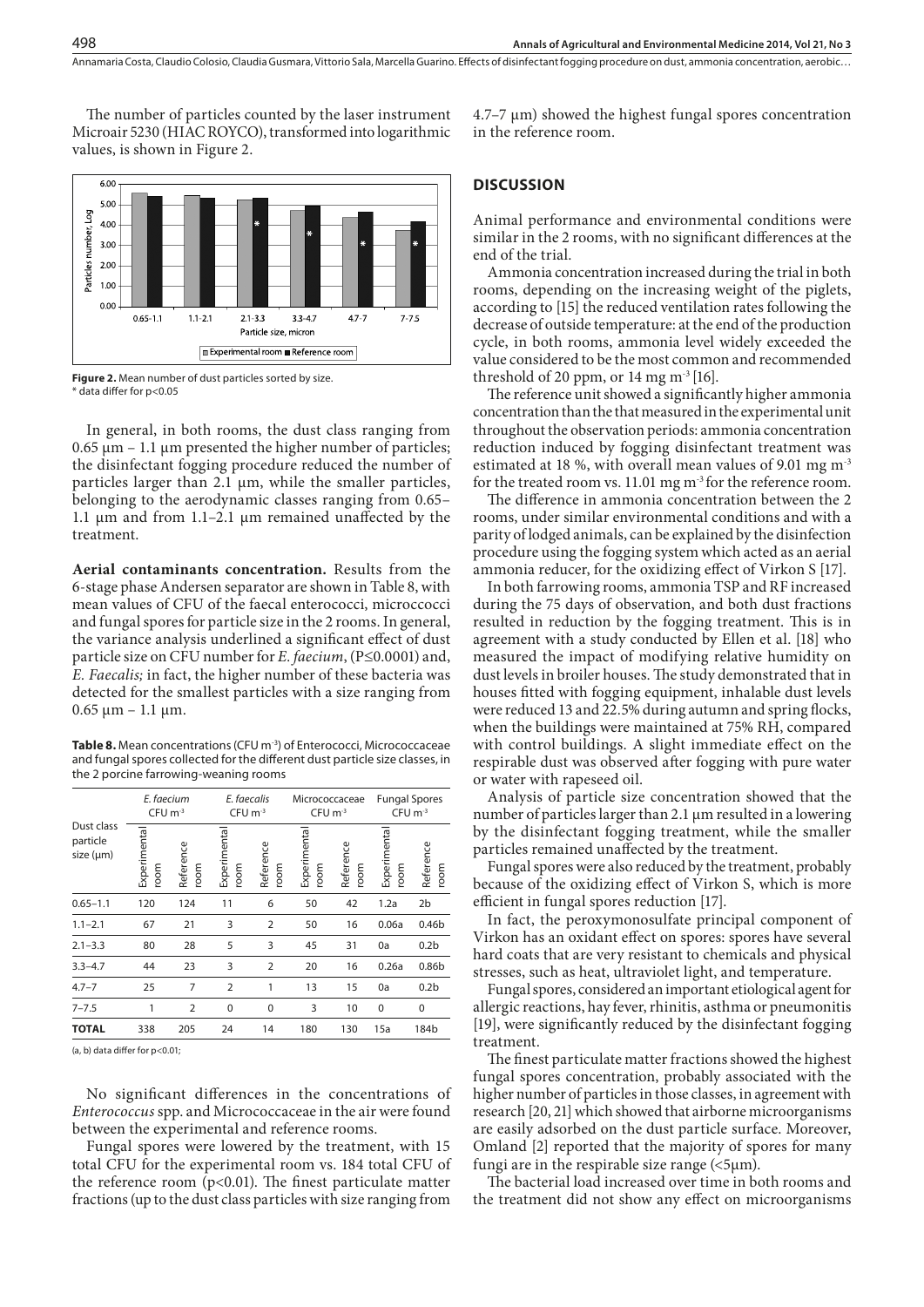The number of particles counted by the laser instrument Microair 5230 (HIAC ROYCO), transformed into logarithmic values, is shown in Figure 2.



**Figure 2.** Mean number of dust particles sorted by size. \* data differ for p<0.05

In general, in both rooms, the dust class ranging from  $0.65 \mu m - 1.1 \mu m$  presented the higher number of particles; the disinfectant fogging procedure reduced the number of particles larger than  $2.1 \mu m$ , while the smaller particles, belonging to the aerodynamic classes ranging from 0.65– 1.1  $\mu$ m and from 1.1–2.1  $\mu$ m remained unaffected by the treatment.

**Aerial contaminants concentration.** Results from the 6-stage phase Andersen separator are shown in Table 8, with mean values of CFU of the faecal enterococci, microccocci and fungal spores for particle size in the 2 rooms. In general, the variance analysis underlined a significant effect of dust particle size on CFU number for *E. faecium*, (P≤0.0001) and, *E. Faecalis;* in fact, the higher number of these bacteria was detected for the smallest particles with a size ranging from  $0.65 \mu m - 1.1 \mu m$ .

**Table 8.** Mean concentrations (CFU m-3) of Enterococci, Micrococcaceae and fungal spores collected for the different dust particle size classes, in the 2 porcine farrowing-weaning rooms

|                                     | E. faecium<br>$CFU$ m <sup>-3</sup> |                   | E. faecalis<br>$CFU$ m <sup>-3</sup> |                   | Micrococcaceae<br>$CFU \, \text{m}^{-3}$ |                   | <b>Fungal Spores</b><br>$CFU m-3$ |                   |
|-------------------------------------|-------------------------------------|-------------------|--------------------------------------|-------------------|------------------------------------------|-------------------|-----------------------------------|-------------------|
| Dust class<br>particle<br>size (µm) | Experimenta<br>room                 | Reference<br>room | Experimenta<br>room                  | Reference<br>room | Experimenta<br>room                      | Reference<br>room | Experimenta<br>room               | Reference<br>room |
| $0.65 - 1.1$                        | 120                                 | 124               | 11                                   | 6                 | 50                                       | 42                | 1.2a                              | 2 <sub>b</sub>    |
| $1.1 - 2.1$                         | 67                                  | 21                | 3                                    | $\overline{2}$    | 50                                       | 16                | 0.06a                             | 0.46 <sub>b</sub> |
| $2.1 - 3.3$                         | 80                                  | 28                | 5                                    | 3                 | 45                                       | 31                | 0a                                | 0.2 <sub>b</sub>  |
| $3.3 - 4.7$                         | 44                                  | 23                | 3                                    | $\overline{2}$    | 20                                       | 16                | 0.26a                             | 0.86 <sub>b</sub> |
| $4.7 - 7$                           | 25                                  | 7                 | $\overline{2}$                       | 1                 | 13                                       | 15                | 0a                                | 0.2 <sub>b</sub>  |
| $7 - 7.5$                           | 1                                   | $\overline{2}$    | $\Omega$                             | $\Omega$          | 3                                        | 10                | $\Omega$                          | $\mathbf 0$       |
| <b>TOTAL</b>                        | 338                                 | 205               | 24                                   | 14                | 180                                      | 130               | 15a                               | 184b              |

(a, b) data differ for p<0.01;

No significant differences in the concentrations of *Enterococcus* spp. and Micrococcaceae in the air were found between the experimental and reference rooms.

Fungal spores were lowered by the treatment, with 15 total CFU for the experimental room vs. 184 total CFU of the reference room  $(p<0.01)$ . The finest particulate matter fractions (up to the dust class particles with size ranging from 4.7–7 µm) showed the highest fungal spores concentration in the reference room.

#### **DISCUSSION**

Animal performance and environmental conditions were similar in the 2 rooms, with no significant differences at the end of the trial.

Ammonia concentration increased during the trial in both rooms, depending on the increasing weight of the piglets, according to [15] the reduced ventilation rates following the decrease of outside temperature: at the end of the production cycle, in both rooms, ammonia level widely exceeded the value considered to be the most common and recommended threshold of 20 ppm, or 14 mg  $m<sup>3</sup>[16]$ .

The reference unit showed a significantly higher ammonia concentration than the that measured in the experimental unit throughout the observation periods: ammonia concentration reduction induced by fogging disinfectant treatment was estimated at 18 %, with overall mean values of 9.01 mg m-3 for the treated room vs. 11.01 mg m<sup>-3</sup> for the reference room.

The difference in ammonia concentration between the 2 rooms, under similar environmental conditions and with a parity of lodged animals, can be explained by the disinfection procedure using the fogging system which acted as an aerial ammonia reducer, for the oxidizing effect of Virkon S [17].

In both farrowing rooms, ammonia TSP and RF increased during the 75 days of observation, and both dust fractions resulted in reduction by the fogging treatment. This is in agreement with a study conducted by Ellen et al. [18] who measured the impact of modifying relative humidity on dust levels in broiler houses. The study demonstrated that in houses fitted with fogging equipment, inhalable dust levels were reduced 13 and 22.5% during autumn and spring flocks, when the buildings were maintained at 75% RH, compared with control buildings. A slight immediate effect on the respirable dust was observed after fogging with pure water or water with rapeseed oil.

Analysis of particle size concentration showed that the number of particles larger than 2.1 μm resulted in a lowering by the disinfectant fogging treatment, while the smaller particles remained unaffected by the treatment.

Fungal spores were also reduced by the treatment, probably because of the oxidizing effect of Virkon S, which is more efficient in fungal spores reduction [17].

In fact, the peroxymonosulfate principal component of Virkon has an oxidant effect on spores: spores have several hard coats that are very resistant to chemicals and physical stresses, such as heat, ultraviolet light, and temperature.

Fungal spores, considered an important etiological agent for allergic reactions, hay fever, rhinitis, asthma or pneumonitis [19], were significantly reduced by the disinfectant fogging treatment.

The finest particulate matter fractions showed the highest fungal spores concentration, probably associated with the higher number of particles in those classes, in agreement with research [20, 21] which showed that airborne microorganisms are easily adsorbed on the dust particle surface. Moreover, Omland [2] reported that the majority of spores for many fungi are in the respirable size range  $($ 

The bacterial load increased over time in both rooms and the treatment did not show any effect on microorganisms